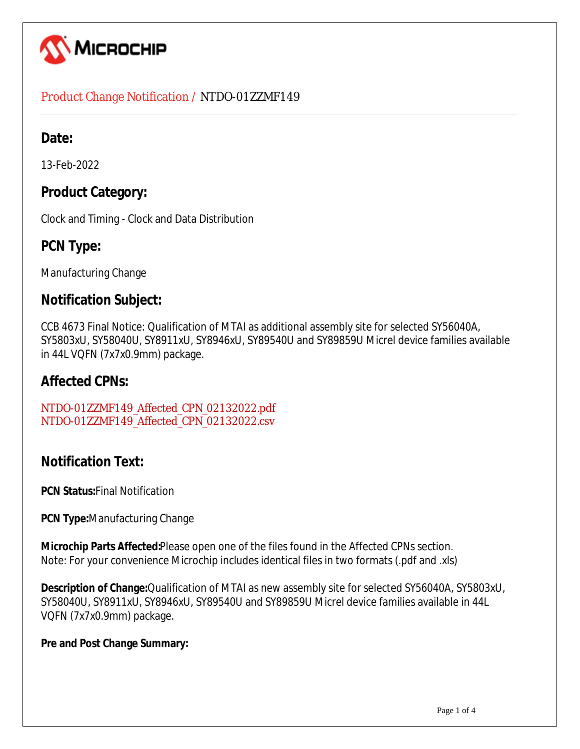

### Product Change Notification / NTDO-01ZZMF149

## **Date:**

13-Feb-2022

## **Product Category:**

Clock and Timing - Clock and Data Distribution

## **PCN Type:**

Manufacturing Change

## **Notification Subject:**

CCB 4673 Final Notice: Qualification of MTAI as additional assembly site for selected SY56040A, SY5803xU, SY58040U, SY8911xU, SY8946xU, SY89540U and SY89859U Micrel device families available in 44L VQFN (7x7x0.9mm) package.

## **Affected CPNs:**

NTDO-01ZZMF149\_Affected\_CPN\_02132022.pdf NTDO-01ZZMF149\_Affected\_CPN\_02132022.csv

## **Notification Text:**

**PCN Status:**Final Notification

**PCN Type:**Manufacturing Change

**Microchip Parts Affected:**Please open one of the files found in the Affected CPNs section. Note: For your convenience Microchip includes identical files in two formats (.pdf and .xls)

**Description of Change:**Qualification of MTAI as new assembly site for selected SY56040A, SY5803xU, SY58040U, SY8911xU, SY8946xU, SY89540U and SY89859U Micrel device families available in 44L VQFN (7x7x0.9mm) package.

#### **Pre and Post Change Summary:**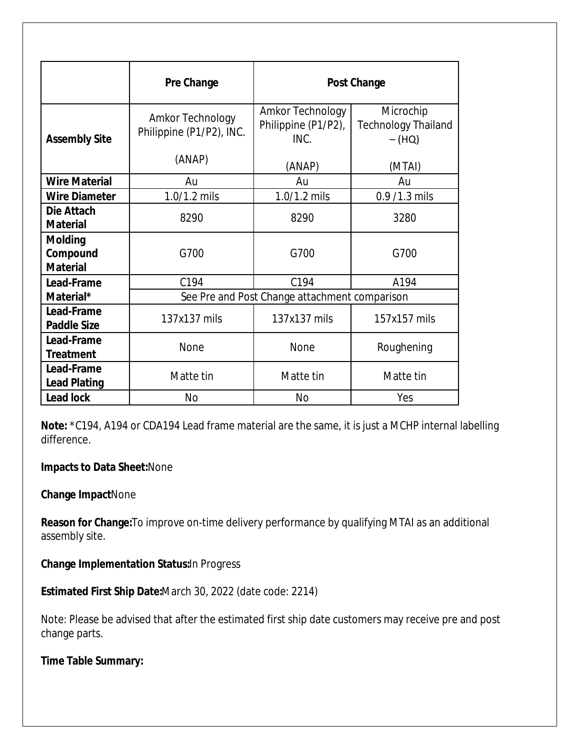|                                               | Pre Change                                   | <b>Post Change</b>                              |                                                               |  |  |  |
|-----------------------------------------------|----------------------------------------------|-------------------------------------------------|---------------------------------------------------------------|--|--|--|
| <b>Assembly Site</b>                          | Amkor Technology<br>Philippine (P1/P2), INC. | Amkor Technology<br>Philippine (P1/P2),<br>INC. | Microchip<br><b>Technology Thailand</b><br>$-$ (HQ)<br>(MTAI) |  |  |  |
|                                               | (ANAP)                                       | (ANAP)                                          |                                                               |  |  |  |
| <b>Wire Material</b>                          | Au                                           | Au<br>Au                                        |                                                               |  |  |  |
| <b>Wire Diameter</b>                          | 1.0/1.2 mils                                 | 1.0/1.2 mils                                    | 0.9 /1.3 mils                                                 |  |  |  |
| Die Attach<br><b>Material</b>                 | 8290                                         | 8290                                            | 3280                                                          |  |  |  |
| <b>Molding</b><br>Compound<br><b>Material</b> | G700                                         | G700                                            | G700                                                          |  |  |  |
| Lead-Frame                                    | C <sub>194</sub>                             | C <sub>194</sub>                                | A194                                                          |  |  |  |
| Material*                                     |                                              | See Pre and Post Change attachment comparison   |                                                               |  |  |  |
| Lead-Frame<br><b>Paddle Size</b>              | 137x137 mils                                 | 137x137 mils                                    | 157x157 mils                                                  |  |  |  |
| Lead-Frame<br><b>Treatment</b>                | None                                         | None                                            | Roughening                                                    |  |  |  |
| Lead-Frame<br><b>Lead Plating</b>             | Matte tin                                    | Matte tin                                       | Matte tin                                                     |  |  |  |
| <b>Lead lock</b>                              | No                                           | <b>No</b><br>Yes                                |                                                               |  |  |  |

**Note:** \*C194, A194 or CDA194 Lead frame material are the same, it is just a MCHP internal labelling difference.

#### **Impacts to Data Sheet:**None

#### **Change Impact**None

**Reason for Change:**To improve on-time delivery performance by qualifying MTAI as an additional assembly site.

**Change Implementation Status:**In Progress

**Estimated First Ship Date:**March 30, 2022 (date code: 2214)

Note: Please be advised that after the estimated first ship date customers may receive pre and post change parts.

**Time Table Summary:**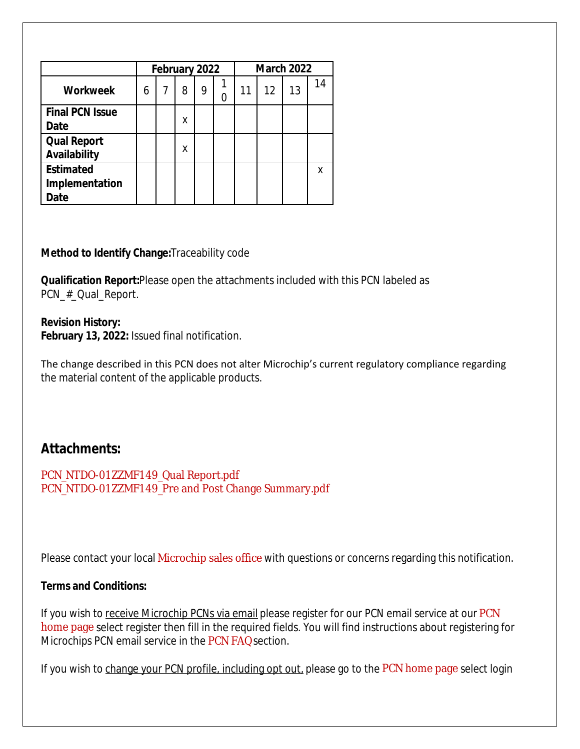|                                            | February 2022 |   |   |   | <b>March 2022</b> |    |    |    |    |
|--------------------------------------------|---------------|---|---|---|-------------------|----|----|----|----|
| <b>Workweek</b>                            | 6             | 7 | 8 | 9 |                   | 11 | 12 | 13 | 14 |
| <b>Final PCN Issue</b><br>Date             |               |   | Χ |   |                   |    |    |    |    |
| <b>Qual Report</b><br>Availability         |               |   | χ |   |                   |    |    |    |    |
| <b>Estimated</b><br>Implementation<br>Date |               |   |   |   |                   |    |    |    | χ  |

#### **Method to Identify Change:**Traceability code

**Qualification Report:**Please open the attachments included with this PCN labeled as PCN\_#\_Qual\_Report.

#### **Revision History:**

**February 13, 2022:** Issued final notification.

The change described in this PCN does not alter Microchip's current regulatory compliance regarding the material content of the applicable products.

## **Attachments:**

PCN\_NTDO-01ZZMF149\_Qual Report.pdf PCN\_NTDO-01ZZMF149\_Pre and Post Change Summary.pdf

Please contact your local Microchip sales office with questions or concerns regarding this notification.

#### **Terms and Conditions:**

If you wish to receive Microchip PCNs via email please register for our PCN email service at our PCN home page select register then fill in the required fields. You will find instructions about registering for Microchips PCN email service in the PCN FAQ section.

If you wish to change your PCN profile, including opt out, please go to the PCN home page select login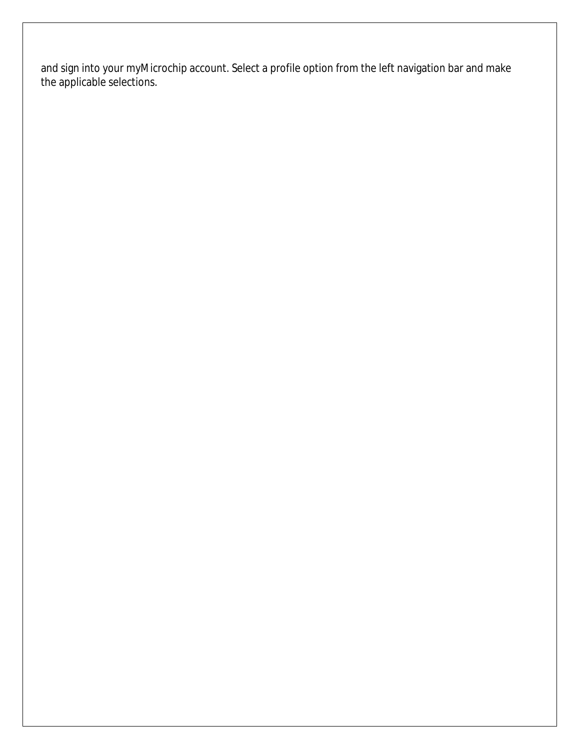and sign into your myMicrochip account. Select a profile option from the left navigation bar and make the applicable selections.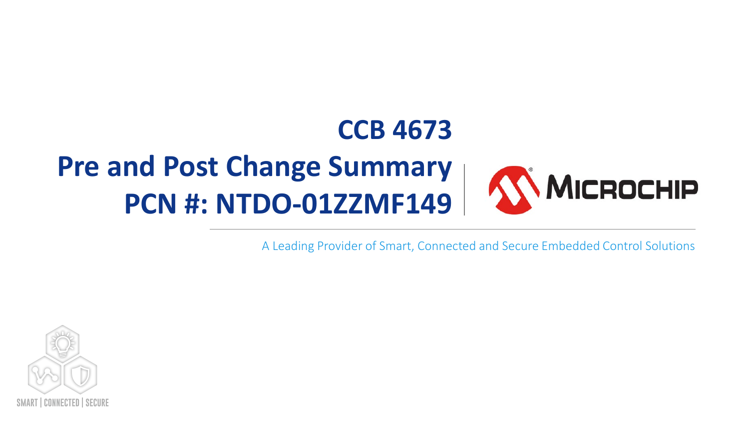## **CCB 4673 Pre and Post Change Summary** MICROCHIP **PCN #: NTDO-01ZZMF149**

A Leading Provider of Smart, Connected and Secure Embedded Control Solutions

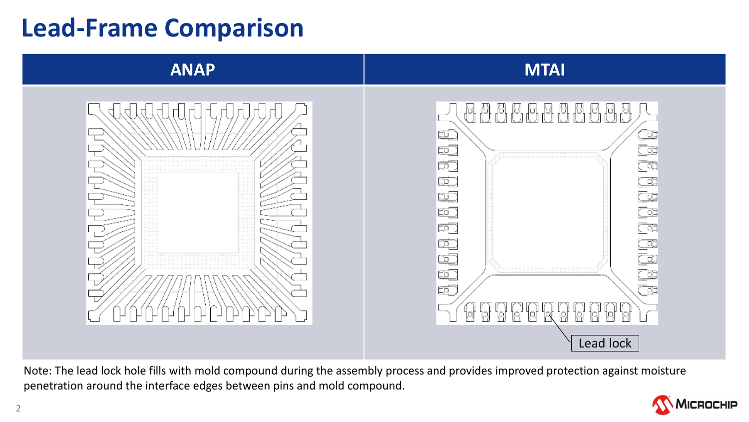# **Lead-Frame Comparison**



Note: The lead lock hole fills with mold compound during the assembly process and provides improved protection against moisture penetration around the interface edges between pins and mold compound.

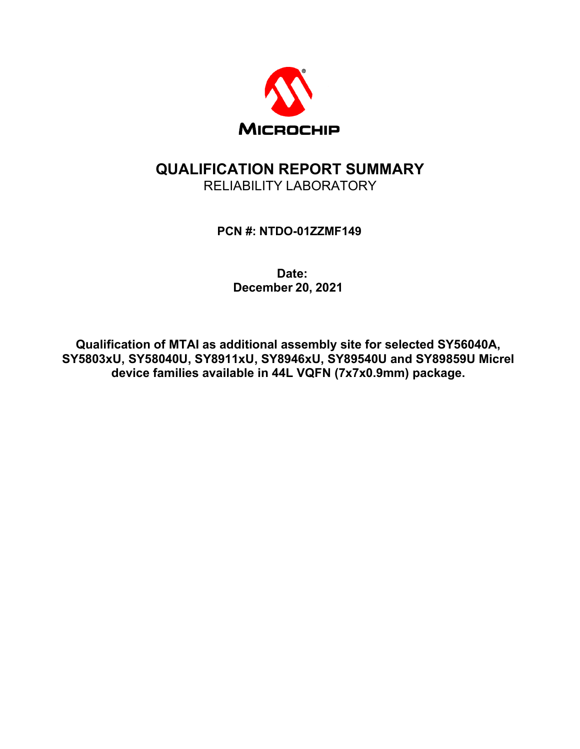

## **QUALIFICATION REPORT SUMMARY** RELIABILITY LABORATORY

#### **PCN #: NTDO-01ZZMF149**

#### **Date: December 20, 2021**

**Qualification of MTAI as additional assembly site for selected SY56040A, SY5803xU, SY58040U, SY8911xU, SY8946xU, SY89540U and SY89859U Micrel device families available in 44L VQFN (7x7x0.9mm) package.**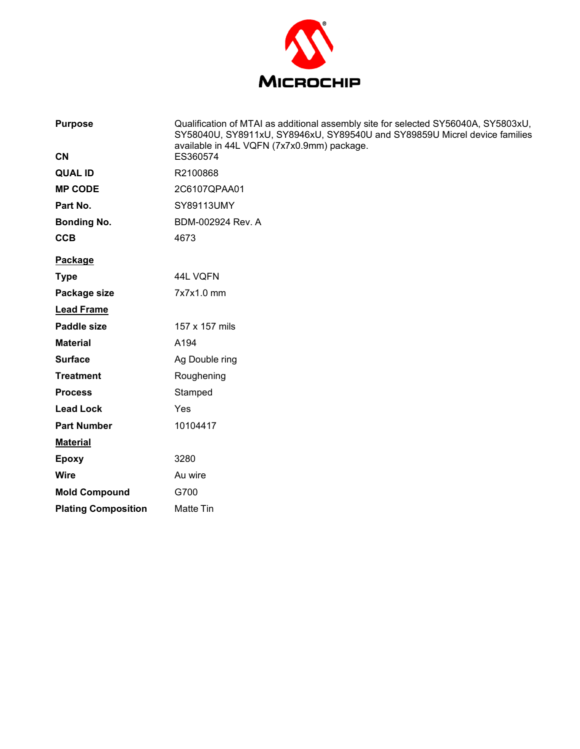

| <b>Purpose</b>             | Qualification of MTAI as additional assembly site for selected SY56040A, SY5803xU,<br>SY58040U, SY8911xU, SY8946xU, SY89540U and SY89859U Micrel device families<br>available in 44L VQFN (7x7x0.9mm) package. |
|----------------------------|----------------------------------------------------------------------------------------------------------------------------------------------------------------------------------------------------------------|
| <b>CN</b>                  | ES360574                                                                                                                                                                                                       |
| <b>QUAL ID</b>             | R2100868                                                                                                                                                                                                       |
| <b>MP CODE</b>             | 2C6107QPAA01                                                                                                                                                                                                   |
| Part No.                   | SY89113UMY                                                                                                                                                                                                     |
| <b>Bonding No.</b>         | BDM-002924 Rev. A                                                                                                                                                                                              |
| <b>CCB</b>                 | 4673                                                                                                                                                                                                           |
| Package                    |                                                                                                                                                                                                                |
| <b>Type</b>                | 44L VQFN                                                                                                                                                                                                       |
| Package size               | 7x7x1.0 mm                                                                                                                                                                                                     |
| <b>Lead Frame</b>          |                                                                                                                                                                                                                |
| <b>Paddle size</b>         | 157 x 157 mils                                                                                                                                                                                                 |
| <b>Material</b>            | A194                                                                                                                                                                                                           |
| <b>Surface</b>             | Ag Double ring                                                                                                                                                                                                 |
| <b>Treatment</b>           | Roughening                                                                                                                                                                                                     |
| <b>Process</b>             | Stamped                                                                                                                                                                                                        |
| <b>Lead Lock</b>           | Yes                                                                                                                                                                                                            |
| <b>Part Number</b>         | 10104417                                                                                                                                                                                                       |
| <b>Material</b>            |                                                                                                                                                                                                                |
| <b>Epoxy</b>               | 3280                                                                                                                                                                                                           |
| <b>Wire</b>                | Au wire                                                                                                                                                                                                        |
| <b>Mold Compound</b>       | G700                                                                                                                                                                                                           |
| <b>Plating Composition</b> | Matte Tin                                                                                                                                                                                                      |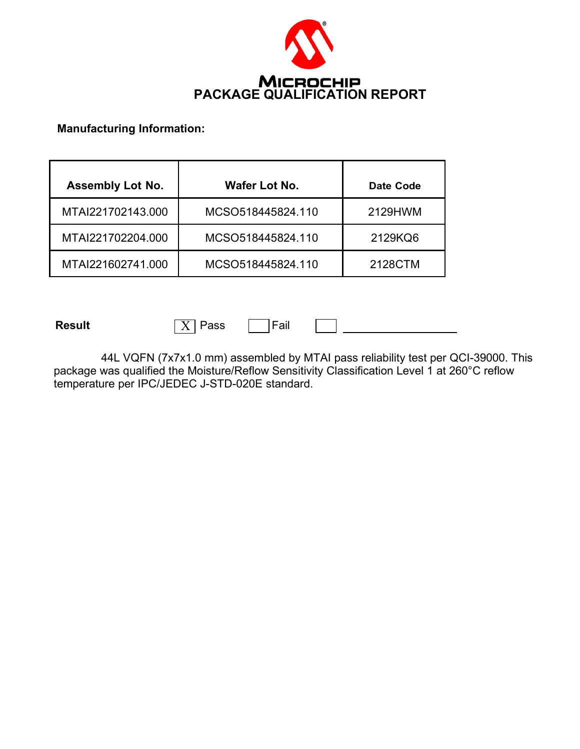

#### **Manufacturing Information:**

| <b>Assembly Lot No.</b> | Wafer Lot No.     | Date Code |  |  |
|-------------------------|-------------------|-----------|--|--|
| MTAI221702143.000       | MCSO518445824.110 | 2129HWM   |  |  |
| MTAI221702204.000       | MCSO518445824.110 | 2129KQ6   |  |  |
| MTAI221602741.000       | MCSO518445824.110 | 2128CTM   |  |  |

**Result**  $\boxed{X}$  Pass  $\boxed{}$  Fail

44L VQFN (7x7x1.0 mm) assembled by MTAI pass reliability test per QCI-39000. This package was qualified the Moisture/Reflow Sensitivity Classification Level 1 at 260°C reflow temperature per IPC/JEDEC J-STD-020E standard.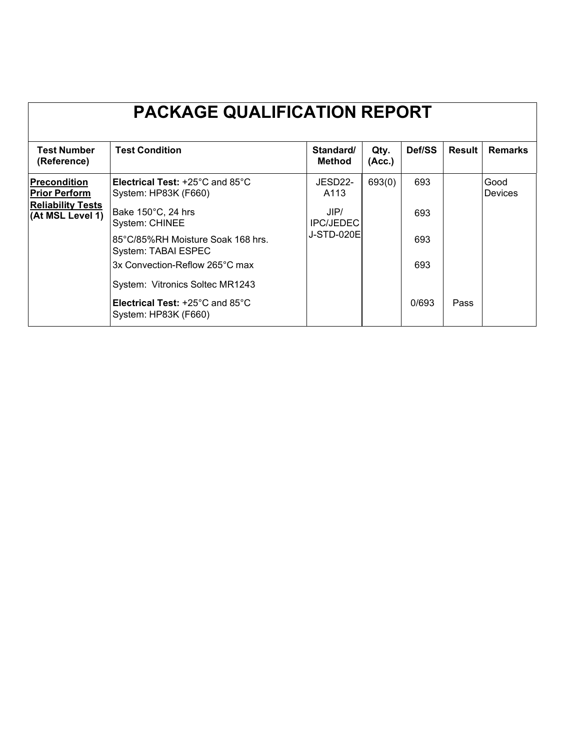| <b>PACKAGE QUALIFICATION REPORT</b>          |                                                                                                        |                            |                |        |               |                 |  |  |
|----------------------------------------------|--------------------------------------------------------------------------------------------------------|----------------------------|----------------|--------|---------------|-----------------|--|--|
| <b>Test Number</b><br>(Reference)            | <b>Test Condition</b>                                                                                  | Standard/<br><b>Method</b> | Qty.<br>(Acc.) | Def/SS | <b>Result</b> | <b>Remarks</b>  |  |  |
| <b>Precondition</b><br><b>Prior Perform</b>  | <b>Electrical Test: +25<math>^{\circ}</math>C and 85<math>^{\circ}</math>C</b><br>System: HP83K (F660) | JESD22-<br>A113            | 693(0)         | 693    |               | Good<br>Devices |  |  |
| <b>Reliability Tests</b><br>(At MSL Level 1) | Bake 150°C, 24 hrs<br>System: CHINEE                                                                   | JIP/<br><b>IPC/JEDEC</b>   |                | 693    |               |                 |  |  |
|                                              | 85°C/85%RH Moisture Soak 168 hrs.<br>System: TABAI ESPEC                                               | <b>J-STD-020E</b>          |                | 693    |               |                 |  |  |
|                                              | 3x Convection-Reflow 265°C max                                                                         |                            |                | 693    |               |                 |  |  |
|                                              | System: Vitronics Soltec MR1243                                                                        |                            |                |        |               |                 |  |  |
|                                              | <b>Electrical Test: +25<math>^{\circ}</math>C and 85<math>^{\circ}</math>C</b><br>System: HP83K (F660) |                            |                | 0/693  | Pass          |                 |  |  |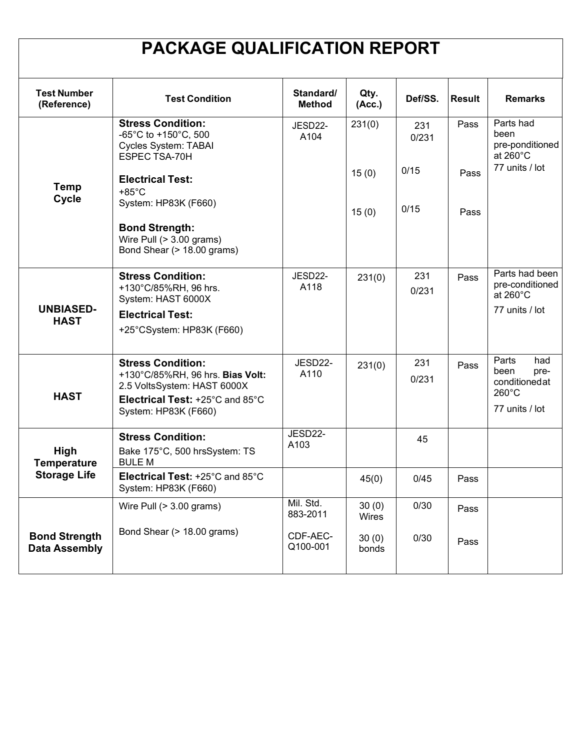## **PACKAGE QUALIFICATION REPORT**

| <b>Test Number</b><br>(Reference)                 | <b>Test Condition</b>                                                                            | Standard/<br><b>Method</b> | Qty.<br>(Acc.) | Def/SS.      | <b>Result</b> | <b>Remarks</b>                                                   |
|---------------------------------------------------|--------------------------------------------------------------------------------------------------|----------------------------|----------------|--------------|---------------|------------------------------------------------------------------|
|                                                   | <b>Stress Condition:</b><br>-65°C to +150°C, 500<br><b>Cycles System: TABAI</b><br>ESPEC TSA-70H | JESD22-<br>A104            | 231(0)         | 231<br>0/231 | Pass          | Parts had<br>been<br>pre-ponditioned<br>at $260^{\circ}$ C       |
| <b>Temp</b><br><b>Cycle</b>                       | <b>Electrical Test:</b><br>$+85^{\circ}$ C                                                       |                            | 15(0)          | 0/15         | Pass          | 77 units / lot                                                   |
|                                                   | System: HP83K (F660)                                                                             |                            | 15(0)          | 0/15         | Pass          |                                                                  |
|                                                   | <b>Bond Strength:</b><br>Wire Pull (> 3.00 grams)<br>Bond Shear (> 18.00 grams)                  |                            |                |              |               |                                                                  |
| <b>UNBIASED-</b><br><b>HAST</b>                   | <b>Stress Condition:</b><br>+130°C/85%RH, 96 hrs.<br>System: HAST 6000X                          | JESD22-<br>A118            | 231(0)         | 231<br>0/231 | Pass          | Parts had been<br>pre-conditioned<br>at $260^{\circ}$ C          |
|                                                   | <b>Electrical Test:</b><br>+25°CSystem: HP83K (F660)                                             |                            |                |              |               | 77 units / lot                                                   |
| <b>HAST</b>                                       | <b>Stress Condition:</b><br>+130°C/85%RH, 96 hrs. Bias Volt:<br>2.5 VoltsSystem: HAST 6000X      | JESD22-<br>A110            | 231(0)         | 231<br>0/231 | Pass          | Parts<br>had<br>been<br>pre-<br>conditionedat<br>$260^{\circ}$ C |
|                                                   | Electrical Test: +25°C and 85°C<br>System: HP83K (F660)                                          |                            |                |              |               | 77 units / lot                                                   |
| High<br><b>Temperature</b><br><b>Storage Life</b> | <b>Stress Condition:</b><br>Bake 175°C, 500 hrsSystem: TS<br><b>BULE M</b>                       | JESD22-<br>A103            |                | 45           |               |                                                                  |
|                                                   | Electrical Test: +25°C and 85°C<br>System: HP83K (F660)                                          |                            | 45(0)          | 0/45         | Pass          |                                                                  |
|                                                   | Wire Pull $(> 3.00$ grams)                                                                       | Mil. Std.<br>883-2011      | 30(0)<br>Wires | 0/30         | Pass          |                                                                  |
| <b>Bond Strength</b><br><b>Data Assembly</b>      | Bond Shear (> 18.00 grams)                                                                       | CDF-AEC-<br>Q100-001       | 30(0)<br>bonds | 0/30         | Pass          |                                                                  |